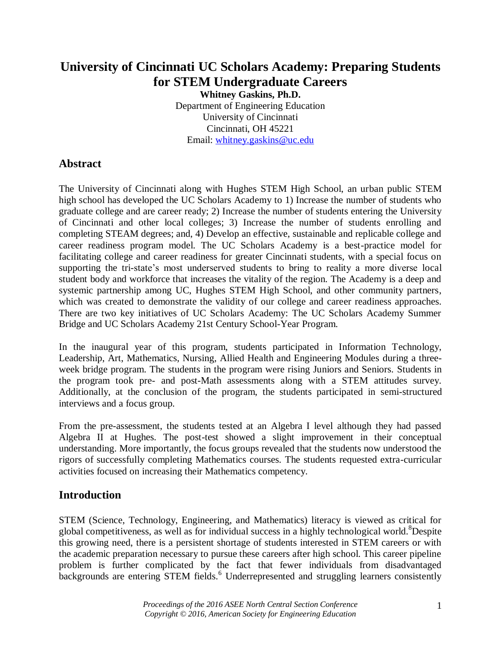# **University of Cincinnati UC Scholars Academy: Preparing Students for STEM Undergraduate Careers**

**Whitney Gaskins, Ph.D.** Department of Engineering Education University of Cincinnati Cincinnati, OH 45221 Email: [whitney.gaskins@uc.edu](mailto:whitney.gaskins@uc.edu)

# **Abstract**

The University of Cincinnati along with Hughes STEM High School, an urban public STEM high school has developed the UC Scholars Academy to 1) Increase the number of students who graduate college and are career ready; 2) Increase the number of students entering the University of Cincinnati and other local colleges; 3) Increase the number of students enrolling and completing STEAM degrees; and, 4) Develop an effective, sustainable and replicable college and career readiness program model. The UC Scholars Academy is a best-practice model for facilitating college and career readiness for greater Cincinnati students, with a special focus on supporting the tri-state's most underserved students to bring to reality a more diverse local student body and workforce that increases the vitality of the region. The Academy is a deep and systemic partnership among UC, Hughes STEM High School, and other community partners, which was created to demonstrate the validity of our college and career readiness approaches. There are two key initiatives of UC Scholars Academy: The UC Scholars Academy Summer Bridge and UC Scholars Academy 21st Century School-Year Program.

In the inaugural year of this program, students participated in Information Technology, Leadership, Art, Mathematics, Nursing, Allied Health and Engineering Modules during a threeweek bridge program. The students in the program were rising Juniors and Seniors. Students in the program took pre- and post-Math assessments along with a STEM attitudes survey. Additionally, at the conclusion of the program, the students participated in semi-structured interviews and a focus group.

From the pre-assessment, the students tested at an Algebra I level although they had passed Algebra II at Hughes. The post-test showed a slight improvement in their conceptual understanding. More importantly, the focus groups revealed that the students now understood the rigors of successfully completing Mathematics courses. The students requested extra-curricular activities focused on increasing their Mathematics competency.

## **Introduction**

STEM (Science, Technology, Engineering, and Mathematics) literacy is viewed as critical for global competitiveness, as well as for individual success in a highly technological world.<sup>8</sup>Despite this growing need, there is a persistent shortage of students interested in STEM careers or with the academic preparation necessary to pursue these careers after high school. This career pipeline problem is further complicated by the fact that fewer individuals from disadvantaged backgrounds are entering STEM fields.<sup>6</sup> Underrepresented and struggling learners consistently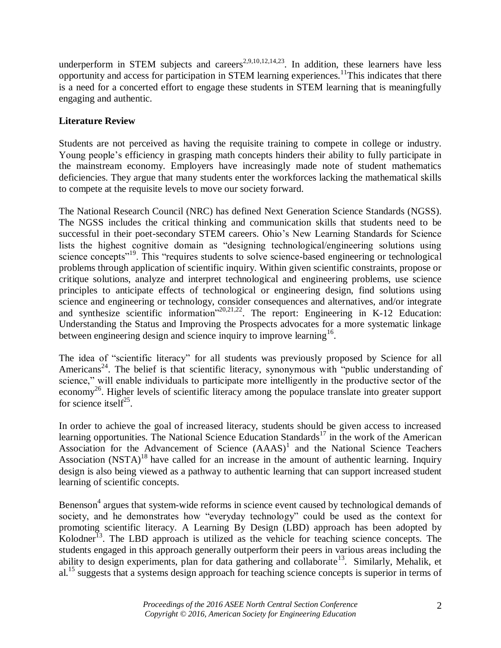underperform in STEM subjects and careers<sup>2,9,10,12,14,23</sup>. In addition, these learners have less opportunity and access for participation in STEM learning experiences.<sup>11</sup>This indicates that there is a need for a concerted effort to engage these students in STEM learning that is meaningfully engaging and authentic.

## **Literature Review**

Students are not perceived as having the requisite training to compete in college or industry. Young people's efficiency in grasping math concepts hinders their ability to fully participate in the mainstream economy. Employers have increasingly made note of student mathematics deficiencies. They argue that many students enter the workforces lacking the mathematical skills to compete at the requisite levels to move our society forward.

The National Research Council (NRC) has defined Next Generation Science Standards (NGSS). The NGSS includes the critical thinking and communication skills that students need to be successful in their poet-secondary STEM careers. Ohio's New Learning Standards for Science lists the highest cognitive domain as "designing technological/engineering solutions using science concepts"<sup>19</sup>. This "requires students to solve science-based engineering or technological problems through application of scientific inquiry. Within given scientific constraints, propose or critique solutions, analyze and interpret technological and engineering problems, use science principles to anticipate effects of technological or engineering design, find solutions using science and engineering or technology, consider consequences and alternatives, and/or integrate and synthesize scientific information<sup> $20,21,22$ </sup>. The report: Engineering in K-12 Education: Understanding the Status and Improving the Prospects advocates for a more systematic linkage between engineering design and science inquiry to improve learning<sup>16</sup>.

The idea of "scientific literacy" for all students was previously proposed by Science for all Americans<sup>24</sup>. The belief is that scientific literacy, synonymous with "public understanding of science," will enable individuals to participate more intelligently in the productive sector of the economy<sup>26</sup>. Higher levels of scientific literacy among the populace translate into greater support for science itself<sup>25</sup>.

In order to achieve the goal of increased literacy, students should be given access to increased learning opportunities. The National Science Education Standards<sup>17</sup> in the work of the American Association for the Advancement of Science  $(AAAS)^1$  and the National Science Teachers Association  $(NSTA)^{18}$  have called for an increase in the amount of authentic learning. Inquiry design is also being viewed as a pathway to authentic learning that can support increased student learning of scientific concepts.

Benenson<sup>4</sup> argues that system-wide reforms in science event caused by technological demands of society, and he demonstrates how "everyday technology" could be used as the context for promoting scientific literacy. A Learning By Design (LBD) approach has been adopted by Kolodner<sup>13</sup>. The LBD approach is utilized as the vehicle for teaching science concepts. The students engaged in this approach generally outperform their peers in various areas including the ability to design experiments, plan for data gathering and collaborate<sup>13</sup>. Similarly, Mehalik, et al.<sup>15</sup> suggests that a systems design approach for teaching science concepts is superior in terms of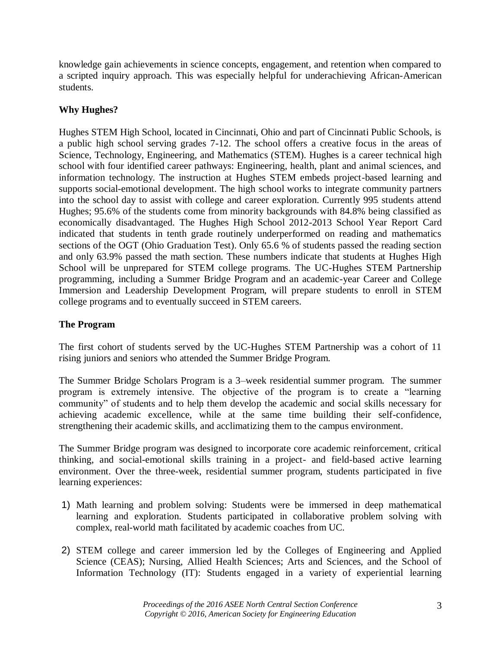knowledge gain achievements in science concepts, engagement, and retention when compared to a scripted inquiry approach. This was especially helpful for underachieving African-American students.

## **Why Hughes?**

Hughes STEM High School, located in Cincinnati, Ohio and part of Cincinnati Public Schools, is a public high school serving grades 7-12. The school offers a creative focus in the areas of Science, Technology, Engineering, and Mathematics (STEM). Hughes is a career technical high school with four identified career pathways: Engineering, health, plant and animal sciences, and information technology. The instruction at Hughes STEM embeds project-based learning and supports social-emotional development. The high school works to integrate community partners into the school day to assist with college and career exploration. Currently 995 students attend Hughes; 95.6% of the students come from minority backgrounds with 84.8% being classified as economically disadvantaged. The Hughes High School 2012-2013 School Year Report Card indicated that students in tenth grade routinely underperformed on reading and mathematics sections of the OGT (Ohio Graduation Test). Only 65.6 % of students passed the reading section and only 63.9% passed the math section. These numbers indicate that students at Hughes High School will be unprepared for STEM college programs. The UC-Hughes STEM Partnership programming, including a Summer Bridge Program and an academic-year Career and College Immersion and Leadership Development Program, will prepare students to enroll in STEM college programs and to eventually succeed in STEM careers.

## **The Program**

The first cohort of students served by the UC-Hughes STEM Partnership was a cohort of 11 rising juniors and seniors who attended the Summer Bridge Program.

The Summer Bridge Scholars Program is a 3–week residential summer program. The summer program is extremely intensive. The objective of the program is to create a "learning community" of students and to help them develop the academic and social skills necessary for achieving academic excellence, while at the same time building their self-confidence, strengthening their academic skills, and acclimatizing them to the campus environment.

The Summer Bridge program was designed to incorporate core academic reinforcement, critical thinking, and social-emotional skills training in a project- and field-based active learning environment. Over the three-week, residential summer program, students participated in five learning experiences:

- 1) Math learning and problem solving: Students were be immersed in deep mathematical learning and exploration. Students participated in collaborative problem solving with complex, real-world math facilitated by academic coaches from UC.
- 2) STEM college and career immersion led by the Colleges of Engineering and Applied Science (CEAS); Nursing, Allied Health Sciences; Arts and Sciences, and the School of Information Technology (IT): Students engaged in a variety of experiential learning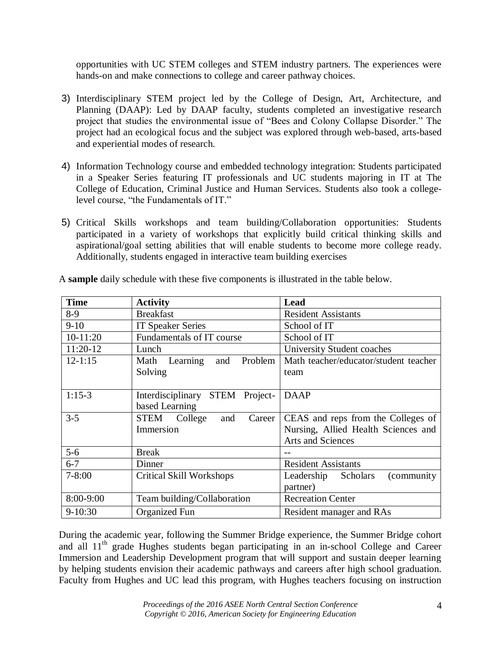opportunities with UC STEM colleges and STEM industry partners. The experiences were hands-on and make connections to college and career pathway choices.

- 3) Interdisciplinary STEM project led by the College of Design, Art, Architecture, and Planning (DAAP): Led by DAAP faculty, students completed an investigative research project that studies the environmental issue of "Bees and Colony Collapse Disorder." The project had an ecological focus and the subject was explored through web-based, arts-based and experiential modes of research.
- 4) Information Technology course and embedded technology integration: Students participated in a Speaker Series featuring IT professionals and UC students majoring in IT at The College of Education, Criminal Justice and Human Services. Students also took a collegelevel course, "the Fundamentals of IT."
- 5) Critical Skills workshops and team building/Collaboration opportunities: Students participated in a variety of workshops that explicitly build critical thinking skills and aspirational/goal setting abilities that will enable students to become more college ready. Additionally, students engaged in interactive team building exercises

| <b>Time</b> | <b>Activity</b>                    | Lead                                  |
|-------------|------------------------------------|---------------------------------------|
| $8-9$       | <b>Breakfast</b>                   | <b>Resident Assistants</b>            |
| $9 - 10$    | <b>IT Speaker Series</b>           | School of IT                          |
| $10-11:20$  | Fundamentals of IT course          | School of IT                          |
| 11:20-12    | Lunch                              | University Student coaches            |
| $12 - 1:15$ | Learning<br>Problem<br>Math<br>and | Math teacher/educator/student teacher |
|             | Solving                            | team                                  |
|             |                                    |                                       |
| $1:15-3$    | STEM Project-<br>Interdisciplinary | <b>DAAP</b>                           |
|             | based Learning                     |                                       |
| $3 - 5$     | STEM College<br>Career<br>and      | CEAS and reps from the Colleges of    |
|             | Immersion                          | Nursing, Allied Health Sciences and   |
|             |                                    | <b>Arts and Sciences</b>              |
| $5-6$       | <b>Break</b>                       |                                       |
| $6 - 7$     | Dinner                             | <b>Resident Assistants</b>            |
| $7 - 8:00$  | Critical Skill Workshops           | (community)<br>Leadership Scholars    |
|             |                                    | partner)                              |
| 8:00-9:00   | Team building/Collaboration        | <b>Recreation Center</b>              |
| $9-10:30$   | Organized Fun                      | Resident manager and RAs              |

A **sample** daily schedule with these five components is illustrated in the table below.

During the academic year, following the Summer Bridge experience, the Summer Bridge cohort and all  $11<sup>th</sup>$  grade Hughes students began participating in an in-school College and Career Immersion and Leadership Development program that will support and sustain deeper learning by helping students envision their academic pathways and careers after high school graduation. Faculty from Hughes and UC lead this program, with Hughes teachers focusing on instruction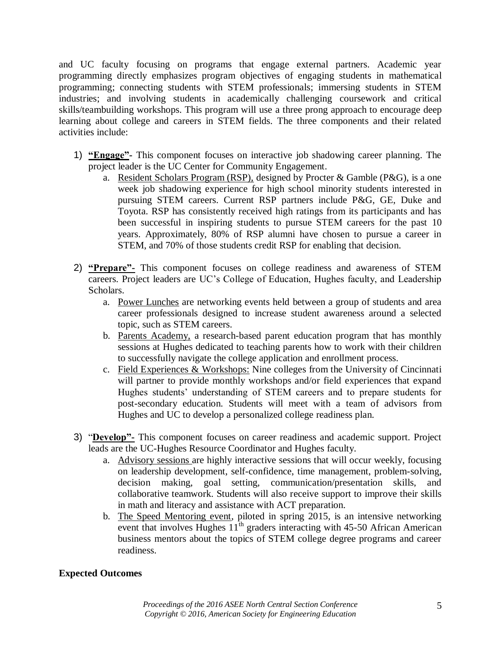and UC faculty focusing on programs that engage external partners. Academic year programming directly emphasizes program objectives of engaging students in mathematical programming; connecting students with STEM professionals; immersing students in STEM industries; and involving students in academically challenging coursework and critical skills/teambuilding workshops. This program will use a three prong approach to encourage deep learning about college and careers in STEM fields. The three components and their related activities include:

- 1) **"Engage"-** This component focuses on interactive job shadowing career planning. The project leader is the UC Center for Community Engagement.
	- a. Resident Scholars Program (RSP), designed by Procter & Gamble (P&G), is a one week job shadowing experience for high school minority students interested in pursuing STEM careers. Current RSP partners include P&G, GE, Duke and Toyota. RSP has consistently received high ratings from its participants and has been successful in inspiring students to pursue STEM careers for the past 10 years. Approximately, 80% of RSP alumni have chosen to pursue a career in STEM, and 70% of those students credit RSP for enabling that decision.
- 2) **"Prepare"-** This component focuses on college readiness and awareness of STEM careers. Project leaders are UC's College of Education, Hughes faculty, and Leadership Scholars.
	- a. Power Lunches are networking events held between a group of students and area career professionals designed to increase student awareness around a selected topic, such as STEM careers.
	- b. Parents Academy, a research-based parent education program that has monthly sessions at Hughes dedicated to teaching parents how to work with their children to successfully navigate the college application and enrollment process.
	- c. Field Experiences & Workshops: Nine colleges from the University of Cincinnati will partner to provide monthly workshops and/or field experiences that expand Hughes students' understanding of STEM careers and to prepare students for post-secondary education. Students will meet with a team of advisors from Hughes and UC to develop a personalized college readiness plan.
- 3) "**Develop"-** This component focuses on career readiness and academic support. Project leads are the UC-Hughes Resource Coordinator and Hughes faculty.
	- a. Advisory sessions are highly interactive sessions that will occur weekly, focusing on leadership development, self-confidence, time management, problem-solving, decision making, goal setting, communication/presentation skills, and collaborative teamwork. Students will also receive support to improve their skills in math and literacy and assistance with ACT preparation.
	- b. The Speed Mentoring event, piloted in spring 2015, is an intensive networking event that involves Hughes  $11<sup>th</sup>$  graders interacting with 45-50 African American business mentors about the topics of STEM college degree programs and career readiness.

## **Expected Outcomes**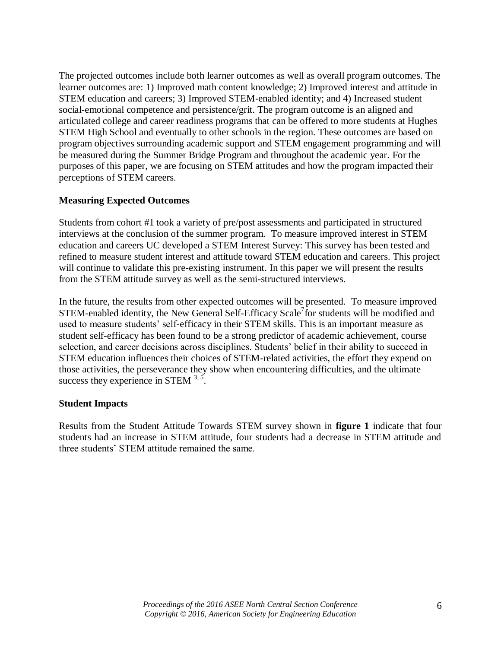The projected outcomes include both learner outcomes as well as overall program outcomes. The learner outcomes are: 1) Improved math content knowledge; 2) Improved interest and attitude in STEM education and careers; 3) Improved STEM-enabled identity; and 4) Increased student social-emotional competence and persistence/grit. The program outcome is an aligned and articulated college and career readiness programs that can be offered to more students at Hughes STEM High School and eventually to other schools in the region. These outcomes are based on program objectives surrounding academic support and STEM engagement programming and will be measured during the Summer Bridge Program and throughout the academic year. For the purposes of this paper, we are focusing on STEM attitudes and how the program impacted their perceptions of STEM careers.

### **Measuring Expected Outcomes**

Students from cohort #1 took a variety of pre/post assessments and participated in structured interviews at the conclusion of the summer program. To measure improved interest in STEM education and careers UC developed a STEM Interest Survey: This survey has been tested and refined to measure student interest and attitude toward STEM education and careers. This project will continue to validate this pre-existing instrument. In this paper we will present the results from the STEM attitude survey as well as the semi-structured interviews.

In the future, the results from other expected outcomes will be presented. To measure improved STEM-enabled identity, the New General Self-Efficacy Scale<sup>7</sup> for students will be modified and used to measure students' self-efficacy in their STEM skills. This is an important measure as student self-efficacy has been found to be a strong predictor of academic achievement, course selection, and career decisions across disciplines. Students' belief in their ability to succeed in STEM education influences their choices of STEM-related activities, the effort they expend on those activities, the perseverance they show when encountering difficulties, and the ultimate success they experience in STEM  $^{3,5}$ .

#### **Student Impacts**

Results from the Student Attitude Towards STEM survey shown in **figure 1** indicate that four students had an increase in STEM attitude, four students had a decrease in STEM attitude and three students' STEM attitude remained the same.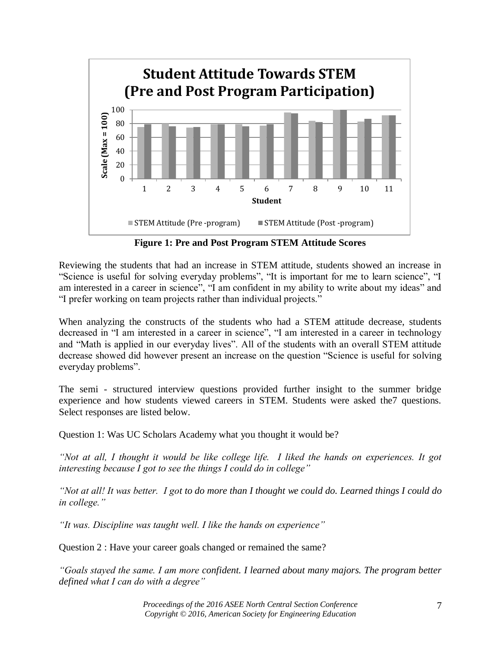

**Figure 1: Pre and Post Program STEM Attitude Scores**

Reviewing the students that had an increase in STEM attitude, students showed an increase in "Science is useful for solving everyday problems", "It is important for me to learn science", "I am interested in a career in science", "I am confident in my ability to write about my ideas" and "I prefer working on team projects rather than individual projects."

When analyzing the constructs of the students who had a STEM attitude decrease, students decreased in "I am interested in a career in science", "I am interested in a career in technology and "Math is applied in our everyday lives". All of the students with an overall STEM attitude decrease showed did however present an increase on the question "Science is useful for solving everyday problems".

The semi - structured interview questions provided further insight to the summer bridge experience and how students viewed careers in STEM. Students were asked the7 questions. Select responses are listed below.

Question 1: Was UC Scholars Academy what you thought it would be?

*"Not at all, I thought it would be like college life. I liked the hands on experiences. It got interesting because I got to see the things I could do in college"*

*"Not at all! It was better. I got to do more than I thought we could do. Learned things I could do in college."*

*"It was. Discipline was taught well. I like the hands on experience"*

Question 2 : Have your career goals changed or remained the same?

*"Goals stayed the same. I am more confident. I learned about many majors. The program better defined what I can do with a degree"*

> *Proceedings of the 2016 ASEE North Central Section Conference Copyright © 2016, American Society for Engineering Education*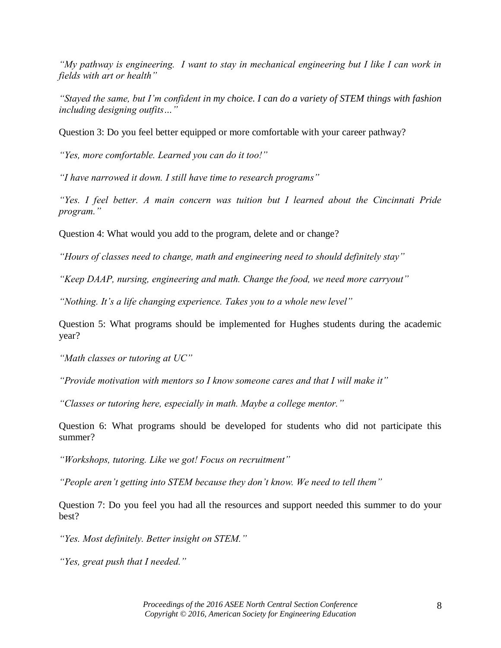*"My pathway is engineering. I want to stay in mechanical engineering but I like I can work in fields with art or health"*

*"Stayed the same, but I'm confident in my choice. I can do a variety of STEM things with fashion including designing outfits…"*

Question 3: Do you feel better equipped or more comfortable with your career pathway?

*"Yes, more comfortable. Learned you can do it too!"*

*"I have narrowed it down. I still have time to research programs"*

*"Yes. I feel better. A main concern was tuition but I learned about the Cincinnati Pride program."*

Question 4: What would you add to the program, delete and or change?

*"Hours of classes need to change, math and engineering need to should definitely stay"*

*"Keep DAAP, nursing, engineering and math. Change the food, we need more carryout"*

*"Nothing. It's a life changing experience. Takes you to a whole new level"*

Question 5: What programs should be implemented for Hughes students during the academic year?

*"Math classes or tutoring at UC"*

*"Provide motivation with mentors so I know someone cares and that I will make it"*

*"Classes or tutoring here, especially in math. Maybe a college mentor."*

Question 6: What programs should be developed for students who did not participate this summer?

*"Workshops, tutoring. Like we got! Focus on recruitment"*

*"People aren't getting into STEM because they don't know. We need to tell them"*

Question 7: Do you feel you had all the resources and support needed this summer to do your best?

*"Yes. Most definitely. Better insight on STEM."*

*"Yes, great push that I needed."*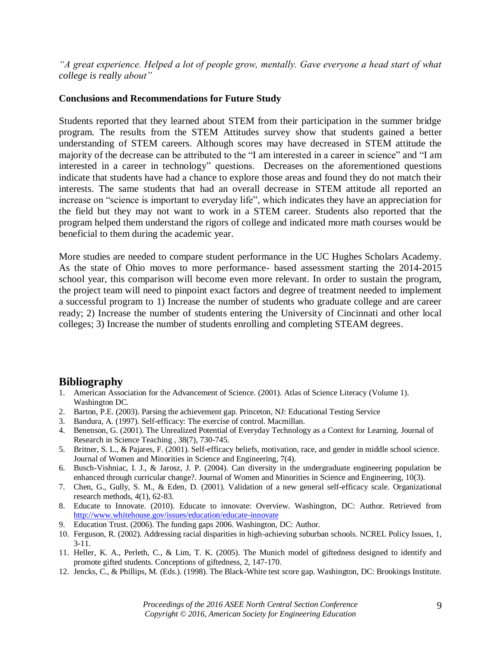*"A great experience. Helped a lot of people grow, mentally. Gave everyone a head start of what college is really about"*

#### **Conclusions and Recommendations for Future Study**

Students reported that they learned about STEM from their participation in the summer bridge program. The results from the STEM Attitudes survey show that students gained a better understanding of STEM careers. Although scores may have decreased in STEM attitude the majority of the decrease can be attributed to the "I am interested in a career in science" and "I am interested in a career in technology" questions. Decreases on the aforementioned questions indicate that students have had a chance to explore those areas and found they do not match their interests. The same students that had an overall decrease in STEM attitude all reported an increase on "science is important to everyday life", which indicates they have an appreciation for the field but they may not want to work in a STEM career. Students also reported that the program helped them understand the rigors of college and indicated more math courses would be beneficial to them during the academic year.

More studies are needed to compare student performance in the UC Hughes Scholars Academy. As the state of Ohio moves to more performance- based assessment starting the 2014-2015 school year, this comparison will become even more relevant. In order to sustain the program, the project team will need to pinpoint exact factors and degree of treatment needed to implement a successful program to 1) Increase the number of students who graduate college and are career ready; 2) Increase the number of students entering the University of Cincinnati and other local colleges; 3) Increase the number of students enrolling and completing STEAM degrees.

## **Bibliography**

- 1. American Association for the Advancement of Science. (2001). Atlas of Science Literacy (Volume 1). Washington DC.
- 2. Barton, P.E. (2003). Parsing the achievement gap. Princeton, NJ: Educational Testing Service
- 3. Bandura, A. (1997). Self-efficacy: The exercise of control. Macmillan.
- 4. Benenson, G. (2001). The Unrealized Potential of Everyday Technology as a Context for Learning. Journal of Research in Science Teaching , 38(7), 730-745.
- 5. Britner, S. L., & Pajares, F. (2001). Self-efficacy beliefs, motivation, race, and gender in middle school science. Journal of Women and Minorities in Science and Engineering, 7(4).
- 6. Busch-Vishniac, I. J., & Jarosz, J. P. (2004). Can diversity in the undergraduate engineering population be enhanced through curricular change?. Journal of Women and Minorities in Science and Engineering, 10(3).
- 7. Chen, G., Gully, S. M., & Eden, D. (2001). Validation of a new general self-efficacy scale. Organizational research methods, 4(1), 62-83.
- 8. Educate to Innovate. (2010). Educate to innovate: Overview. Washington, DC: Author. Retrieved from <http://www.whitehouse.gov/issues/education/educate-innovate>
- 9. Education Trust. (2006). The funding gaps 2006. Washington, DC: Author.
- 10. Ferguson, R. (2002). Addressing racial disparities in high-achieving suburban schools. NCREL Policy Issues, 1, 3-11.
- 11. Heller, K. A., Perleth, C., & Lim, T. K. (2005). The Munich model of giftedness designed to identify and promote gifted students. Conceptions of giftedness, 2, 147-170.
- 12. Jencks, C., & Phillips, M. (Eds.). (1998). The Black-White test score gap. Washington, DC: Brookings Institute.